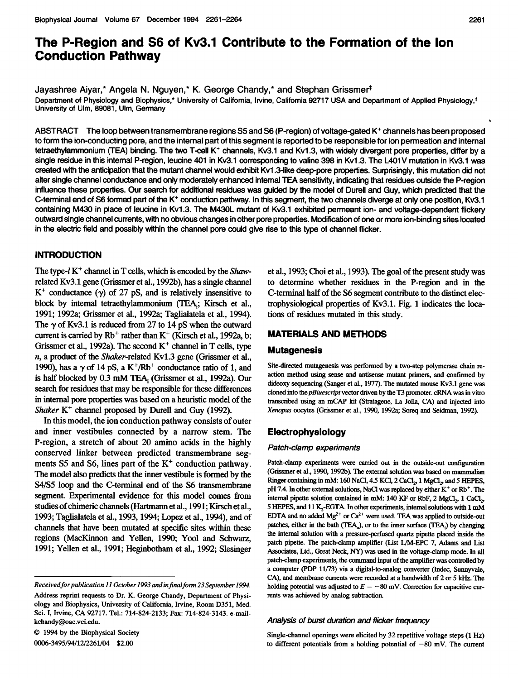# The P-Region and S6 of Kv3.1 Contribute to the Formation of the Ion Conduction Pathway

Jayashree Aiyar,\* Angela N. Nguyen,\* K. George Chandy,\* and Stephan Grissmert Department of Physiology and Biophysics,\* University of Califomia, Irvine, California 92717 USA and Department of Applied Physiology,\* University of Ulm, 89081, Ulm, Germany

ABSTRACT The loop between transmembrane regions S5 and S6 (P-region) of voltage-gated K+ channels has been proposed to form the ion-conducting pore, and the internal part of this segment is reported to be responsible for ion permeation and internal tetraethylammonium (TEA) binding. The two T-cell K<sup>+</sup> channels, Kv3.1 and Kv1.3, with widely divergent pore properties, differ by a single residue in this internal P-region, leucine 401 in Kv3.1 corresponding to valine 398 in Kv1.3. The L401V mutation in Kv3.1 was created with the anticipation that the mutant channel would exhibit Kvl .3-like deep-pore properties. Surprisingly, this mutation did not after single channel conductance and only moderately enhanced intemal TEA sensitivity, indicating that residues outside the P-region influence these properties. Our search for additional residues was guided by the model of Durell and Guy, which predicted that the C-terminal end of S6 formed part of the K<sup>+</sup> conduction pathway. In this segment, the two channels diverge at only one position, Kv3.1 containing M430 in place of leucine in Kv1.3. The M430L mutant of Kv3.1 exhibited permeant ion- and voltage-dependent flickery outward single channel currents, with no obvious changes in other pore properties. Modification of one or more ion-binding sites located in the electric field and possibly within the channel pore could give rise to this type of channel flicker.

# INTRODUCTION

The type- $l K^{+}$  channel in T cells, which is encoded by the *Shaw*related Kv3.1 gene (Grissmer et al., 1992b), has a single channel  $K^+$  conductance ( $\gamma$ ) of 27 pS, and is relatively insensitive to block by internal tetraethylammonium (TEA,; Kirsch et al., 1991; 1992a; Grissmer et al., 1992a; Taglialatela et al., 1994). The  $\gamma$  of Kv3.1 is reduced from 27 to 14 pS when the outward current is carried by  $Rb^+$  rather than  $K^+$  (Kirsch et al., 1992a, b; Grissmer et al., 1992a). The second  $K^+$  channel in T cells, type n, a product of the Shaker-related Kv1.3 gene (Grissmer et al., 1990), has a  $\gamma$  of 14 pS, a K<sup>+</sup>/Rb<sup>+</sup> conductance ratio of 1, and is half blocked by 0.3 mM TEA, (Grissmer et al., 1992a). Our search for residues that may be responsible for these differences in internal pore properties was based on a heuristic model of the Shaker  $K^+$  channel proposed by Durell and Guy (1992).

In this model, the ion conduction pathway consists of outer and inner vestibules connected by a narrow stem. The P-region, a stretch of about 20 amino acids in the highly conserved linker between predicted transmembrane segments S5 and S6, lines part of the  $K^+$  conduction pathway. The model also predicts that the inner vestibule is formed by the S4/S5 loop and the C-terminal end of the S6 transmembrane segment. Experimental evidence for this model comes from studies of chimeric channels (Hartmann et al., 1991; Kirsch et al., 1993; Taglialatela et al., 1993, 1994; Lopez et al., 1994), and of channels that have been mutated at specific sites within these regions (MacKinnon and Yellen, 1990; Yool and Schwarz, 1991; Yellen et al., 1991; Heginbotham et al., 1992; Slesinger

© <sup>1994</sup> by the Biophysical Society 0006-3495/94/12/2261/04 \$2.00

et al., 1993; Choi et al., 1993). The goal of the present study was to determine whether residues in the P-region and in the C-terninal half of the S6 segment contribute to the distinct electrophysiological properties of Kv3.1. Fig. 1 indicates the locations of residues mutated in this study.

## MATERIALS AND METHODS

#### Mutagenesis

Site-directed mutagenesis was performed by a two-step polymerase chain reaction method using sense and antisense mutant primers, and confirmed by dideoxy sequencing (Sanger et al., 1977). The mutated mouse Kv3.1 gene was cloned into the *pBluescript* vector driven by the T3 promoter. cRNA was in vitro transcibed using an mCAP kit (Stratagene, La Jolla, CA) and injected into Xenopus oocytes (Grissmer et al., 1990, 1992a; Soreq and Seidman, 1992).

## Electrophysiology

#### Patch-clamp experiments

Patch-clamp experiments were carried out in the outside-out configuration (Grissmer et al., 1990, 1992b). The external solution was based on mammalian Ringer containing in mM: 160 NaCl, 4.5 KCl, 2 CaCl<sub>2</sub>, 1 MgCl<sub>2</sub>, and 5 HEPES, pH 7.4. In other external solutions, NaCl was replaced by either K<sup>+</sup> or Rb<sup>+</sup>. The internal pipette solution contained in mM: 140 KF or RbF, 2 MgCl<sub>2</sub>, 1 CaCl<sub>2</sub>, 5 HEPES, and 11 K<sub>2</sub>-EGTA. In other experiments, internal solutions with 1 mM EDTA and no added  $Mg^{2+}$  or  $Ca^{2+}$  were used. TEA was applied to outside-out patches, either in the bath (TEA<sub>n</sub>), or to the inner surface (TEA<sub>i</sub>) by changing the internal solution with a pressure-perfused quartz pipette placed inside the patch pipette. The patch-clamp amplifier (List IVM-EPC 7, Adams and List Associates, Ltd., Great Neck, NY) was used in the voltage-clamp mode. In all patch-clamp experiments, the command input of the amplifier was controlled by a computer (PDP 11/73) via a digital-to-analog converter (Indec, Sunnyvale, CA), and membrane currents were recorded at a bandwidth of 2 or 5 kHz. The holding potential was adjusted to  $E = -80$  mV. Correction for capacitive currents was achieved by analog subtraction.

#### Analysis of burst duration and flicker frequency

Single-channel openings were elicited by 32 repetitive voltage steps (1 Hz) to different potentials from a holding potential of  $-80$  mV. The current

Receivedforpublication 11 October 1993 and infinalform 23 September 1994. Address reprint requests to Dr. K. George Chandy, Department of Physiology and Biophysics, University of California, Irvine, Room D351, Med. Sci. I, Irvine, CA 92717. Tel.: 714-824-2133; Fax: 714-824-3143. e-mailkchandy@oac.vci.edu.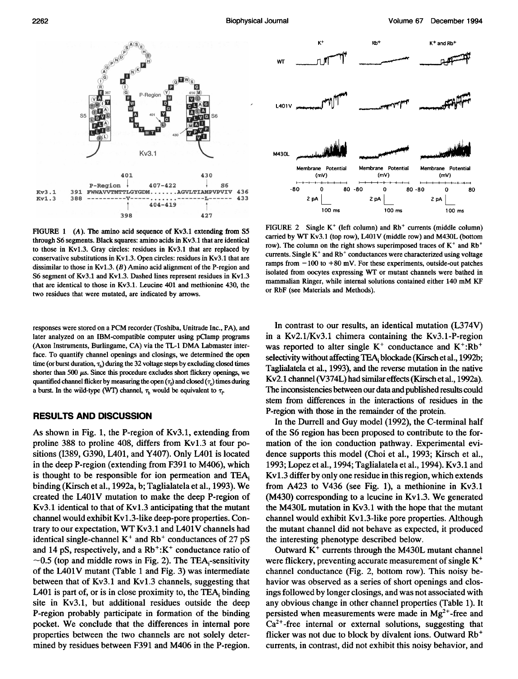$K^+$ 

 $Rb^+$  K<sup>+</sup> and  $Rb^+$ 



FIGURE 1 (A). The amino acid sequence of Kv3.1 extending from S5 through S6 segments. Black squares: amino acids in Kv3.1 that are identical to those in Kv1.3. Gray circles: residues in Kv3.1 that are replaced by conservative substitutions in Kv1.3. Open circles: residues in Kv3.1 that are dissimilar to those in Kv1.3.  $(B)$  Amino acid alignment of the P-region and S6 segment of Kv3.1 and Kv1.3. Dashed lines represent residues in Kv1.3 that are identical to those in Kv3.1. Leucine 401 and methionine 430, the two residues that were mutated, are indicated by arrows.

responses were stored on <sup>a</sup> PCM recorder (Toshiba, Unitrade Inc., PA), and later analyzed on an IBM-compatible computer using pClamp programs (Axon Instruments, Burlingame, CA) via the TL-1 DMA Labmaster interface. To quantify channel openings and closings, we determined the open time (or burst duration,  $\tau_b$ ) during the 32 voltage steps by excluding closed times shorter than 500  $\mu$ s. Since this procedure excludes short flickery openings, we quantified channel flicker by measuring the open  $(\tau_i)$  and closed  $(\tau_c)$  times during a burst. In the wild-type (WT) channel,  $\tau_b$  would be equivalent to  $\tau_c$ 

## RESULTS AND DISCUSSION

As shown in Fig. 1, the P-region of Kv3.1, extending from proline 388 to proline 408, differs from Kv1.3 at four positions (1389, G390, L401, and Y407). Only L401 is located in the deep P-region (extending from F391 to M406), which is thought to be responsible for ion permeation and TEA, binding (Kirsch et al., 1992a, b; Taglialatela et al., 1993). We created the L401V mutation to make the deep P-region of Kv3.1 identical to that of Kv1.3 anticipating that the mutant channel would exhibit Kvl.3-like deep-pore properties. Contrary to our expectation, WT Kv3.1 and LAO1V channels had identical single-channel  $K^+$  and  $Rb^+$  conductances of 27 pS and 14 pS, respectively, and a  $Rb^{+}:K^{+}$  conductance ratio of  $\sim$ 0.5 (top and middle rows in Fig. 2). The TEA<sub>i</sub>-sensitivity of the L4O1V mutant (Table <sup>1</sup> and Fig. 3) was intermediate between that of Kv3.1 and Kv1.3 channels, suggesting that L401 is part of, or is in close proximity to, the TEA, binding site in Kv3.1, but additional residues outside the deep P-region probably participate in formation of the binding pocket. We conclude that the differences in internal pore properties between the two channels are not solely determined by residues between F391 and M406 in the P-region.



FIGURE 2 Single  $K^+$  (left column) and  $Rb^+$  currents (middle column) carried by WT Kv3.1 (top row), L401V (middle row) and M430L (bottom row). The column on the right shows superimposed traces of  $K^+$  and  $Rb^+$ currents. Single  $K^+$  and  $Rb^+$  conductances were characterized using voltage ramps from  $-100$  to  $+80$  mV. For these experiments, outside-out patches isolated from oocytes expressing WT or mutant channels were bathed in mammalian Ringer, while internal solutions contained either <sup>140</sup> mM KF or RbF (see Materials and Methods).

In contrast to our results, an identical mutation (L374V) in a Kv2.1/Kv3.1 chimera containing the Kv3.1-P-region was reported to alter single  $K^+$  conductance and  $K^+$ :Rb<sup>+</sup> selectivity without affecting TEA, blockade (Kirsch et al., 1992b; Taglialatela et al., 1993), and the reverse mutation in the native Kv2.1 channel (V374L) had similar effects (Kirsch et al., 1992a). The inconsistencies between our data and published results could stem from differences in the interactions of residues in the P-region with those in the remainder of the protein.

In the Durrell and Guy model (1992), the C-terminal half of the S6 region has been proposed to contribute to the formation of the ion conduction pathway. Experimental evidence supports this model (Choi et al., 1993; Kirsch et al., 1993; Lopez et al., 1994; Taglialatela et al., 1994). Kv3.1 and Kv1.3 differ by only one residue in this region, which extends from A423 to V436 (see Fig. 1), a methionine in Kv3.1 (M430) corresponding to <sup>a</sup> leucine in Kv1.3. We generated the M430L mutation in Kv3.1 with the hope that the mutant channel would exhibit Kv1.3-like pore properties. Although the mutant channel did not behave as expected, it produced the interesting phenotype described below.

Outward  $K<sup>+</sup>$  currents through the M430L mutant channel were flickery, preventing accurate measurement of single K<sup>+</sup> channel conductance (Fig. 2, bottom row). This noisy behavior was observed as a series of short openings and closings followed by longer closings, and was not associated with any obvious change in other channel properties (Table 1). It persisted when measurements were made in  $Mg^{2+}$ -free and  $Ca<sup>2+</sup>$ -free internal or external solutions, suggesting that flicker was not due to block by divalent ions. Outward Rb<sup>+</sup> currents, in contrast, did not exhibit this noisy behavior, and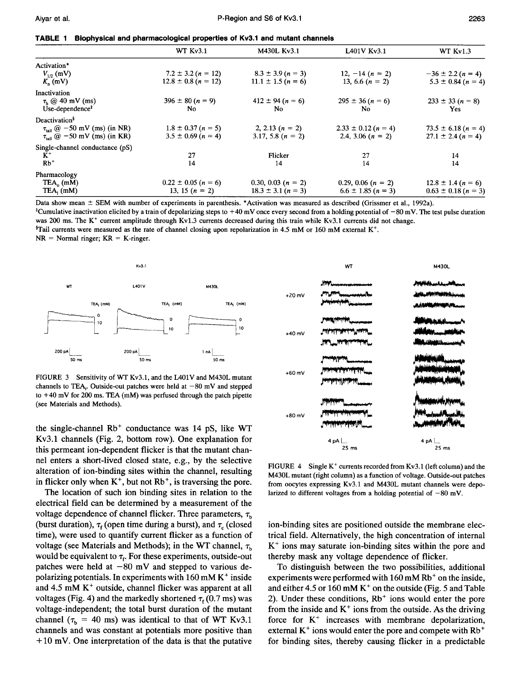|  |  |  |  | TABLE 1 Biophysical and pharmacological properties of Kv3.1 and mutant channels |
|--|--|--|--|---------------------------------------------------------------------------------|
|--|--|--|--|---------------------------------------------------------------------------------|

|                                                           | WT Kv3.1                | M430L Kv3.1            | L401V Kv3.1             | WT Kv1.3                |
|-----------------------------------------------------------|-------------------------|------------------------|-------------------------|-------------------------|
| Activation*                                               |                         |                        |                         |                         |
| $V_{1p}$ (mV)                                             | $7.2 \pm 3.2 (n = 12)$  | $8.3 \pm 3.9 (n = 3)$  | 12, $-14(n = 2)$        | $-36 \pm 2.2 (n = 4)$   |
| $K_n$ (mV)                                                | $12.8 \pm 0.8$ (n = 12) | $11.1 \pm 1.5 (n = 6)$ | 13, 6.6 $(n = 2)$       | $5.3 \pm 0.84$ (n = 4)  |
| Inactivation                                              |                         |                        |                         |                         |
| $\tau_h \otimes 40$ mV (ms)                               | $396 \pm 80 (n = 9)$    | $412 \pm 94 (n = 6)$   | $295 \pm 36 (n = 6)$    | $233 \pm 33 (n = 8)$    |
| Use-dependence <sup>†</sup>                               | No.                     | No.                    | N <sub>0</sub>          | <b>Yes</b>              |
| Deactivation <sup>§</sup>                                 |                         |                        |                         |                         |
| $\tau_{\text{tail}}$ @ -50 mV (ms) (in NR)                | $1.8 \pm 0.37 (n = 5)$  | 2, 2.13 $(n = 2)$      | $2.33 \pm 0.12$ (n = 4) | $73.5 \pm 6.18$ (n = 4) |
| $\tau_{\text{tail}}$ ( $\hat{\omega}$ -50 mV (ms) (in KR) | $3.5 \pm 0.69 (n = 4)$  | 3.17, 5.8 $(n = 2)$    | 2.4, 3.06 $(n = 2)$     | $27.1 \pm 2.4 (n = 4)$  |
| Single-channel conductance (pS)                           |                         |                        |                         |                         |
| $K^+$                                                     | 27                      | Flicker                | 27                      | 14                      |
| $Rb^+$                                                    | 14                      | 14                     | 14                      | 14                      |
| Pharmacology                                              |                         |                        |                         |                         |
| $TEA_0$ (mM)                                              | $0.22 \pm 0.05$ (n = 6) | 0.30, 0.03 $(n = 2)$   | 0.29, 0.06 $(n = 2)$    | $12.8 \pm 1.4 (n = 6)$  |
| $TEA_1$ (mM)                                              | 13, 15 $(n = 2)$        | $18.3 \pm 3.1 (n = 3)$ | $6.6 \pm 1.85$ (n = 3)  | $0.63 \pm 0.18$ (n = 3) |

Data show mean  $\pm$  SEM with number of experiments in parenthesis. \*Activation was measured as described (Grissmer et al., 1992a). <sup>‡</sup>Cumulative inactivation elicited by a train of depolarizing steps to  $+40$  mV once every second from a holding potential of  $-80$  mV. The test pulse duration was 200 ms. The K<sup>+</sup> current amplitude through Kv1.3 currents decreased during this train while Kv3.1 currents did not change.  ${}^{\$}$ Tail currents were measured as the rate of channel closing upon repolarization in 4.5 mM or 160 mM external K<sup>+</sup>.  $NR = Normal$  ringer;  $KR = K$ -ringer.



FIGURE <sup>3</sup> Sensitivity of WT Kv3.1, and the L4O1V and M430L mutant channels to TEA. Outside-out patches were held at  $-80$  mV and stepped to +40 mV for <sup>200</sup> ms. TEA (mM) was perfused through the patch pipette (see Materials and Methods).

the single-channel  $Rb<sup>+</sup>$  conductance was 14 pS, like WT Kv3.1 channels (Fig. 2, bottom row). One explanation for this permeant ion-dependent flicker is that the mutant channel enters a short-lived closed state, e.g., by the selective alteration of ion-binding sites within the channel, resulting in flicker only when  $K^+$ , but not  $Rb^+$ , is traversing the pore.

The location of such ion binding sites in relation to the electrical field can be determined by a measurement of the voltage dependence of channel flicker. Three parameters,  $\tau_{\rm b}$ (burst duration),  $\tau_f$  (open time during a burst), and  $\tau_c$  (closed time), were used to quantify current flicker as a function of voltage (see Materials and Methods); in the WT channel,  $\tau_{\rm b}$ would be equivalent to  $\tau_f$ . For these experiments, outside-out patches were held at  $-80$  mV and stepped to various depolarizing potentials. In experiments with  $160 \text{ mM K}^+$  inside and  $4.5$  mM  $K<sup>+</sup>$  outside, channel flicker was apparent at all voltages (Fig. 4) and the markedly shortened  $\tau_f$  (0.7 ms) was voltage-independent; the total burst duration of the mutant channel ( $\tau_b$  = 40 ms) was identical to that of WT Kv3.1 channels and was constant at potentials more positive than  $+10$  mV. One interpretation of the data is that the putative



FIGURE 4 Single  $K^+$  currents recorded from Kv3.1 (left column) and the M430L mutant (right column) as <sup>a</sup> function of voltage. Outside-out patches from oocytes expressing Kv3.1 and M430L mutant channels were depolarized to different voltages from a holding potential of  $-80$  mV.

ion-binding sites are positioned outside the membrane electrical field. Alternatively, the high concentration of internal  $K^+$  ions may saturate ion-binding sites within the pore and thereby mask any voltage dependence of flicker.

To distinguish between the two possibilities, additional experiments were performed with  $160 \text{ mM } Rb^+$  on the inside, and either 4.5 or 160 mM  $K^+$  on the outside (Fig. 5 and Table 2). Under these conditions,  $Rb<sup>+</sup>$  ions would enter the pore from the inside and  $K^+$  ions from the outside. As the driving force for  $K^+$  increases with membrane depolarization, external  $K^+$  ions would enter the pore and compete with  $Rb^+$ for binding sites, thereby causing flicker in a predictable